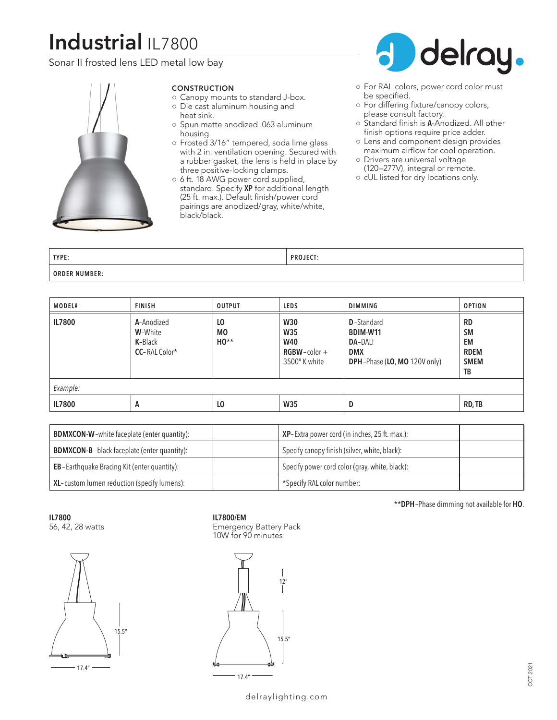# **Industrial** IL7800

Sonar II frosted lens LED metal low bay



# CONSTRUCTION

- Canopy mounts to standard J-box. ○ Die cast aluminum housing and
- heat sink. ○ Spun matte anodized .063 aluminum
- housing.
- Frosted 3/16" tempered, soda lime glass with 2 in. ventilation opening. Secured with a rubber gasket, the lens is held in place by three positive-locking clamps.
- 6 ft. 18 AWG power cord supplied, standard. Specify **XP** for additional length (25 ft. max.). Default finish/power cord pairings are anodized/gray, white/white, black/black.



- For RAL colors, power cord color must be specified.
- For differing fixture/canopy colors, please consult factory.
- Standard finish is **A**-Anodized. All other finish options require price adder.
- Lens and component design provides maximum airflow for cool operation.
- Drivers are universal voltage (120–277V), integral or remote.
- cUL listed for dry locations only.

| TYPE:                | $-0.5$<br>D <sub>D</sub><br>. |
|----------------------|-------------------------------|
| <b>ORDER NUMBER:</b> |                               |

| MODEL#        | <b>FINISH</b>                                                    | <b>OUTPUT</b>             | <b>LEDS</b>                                                                 | <b>DIMMING</b>                                                                                        | <b>OPTION</b>                                                    |
|---------------|------------------------------------------------------------------|---------------------------|-----------------------------------------------------------------------------|-------------------------------------------------------------------------------------------------------|------------------------------------------------------------------|
| <b>IL7800</b> | A-Anodized<br>W-White<br><b>K-</b> Black<br><b>CC-RAL Color*</b> | LO<br><b>MO</b><br>$HO**$ | <b>W30</b><br><b>W35</b><br><b>W40</b><br>$RGBW$ - color +<br>3500° K white | <b>D</b> -Standard<br>BDIM-W11<br><b>DA-DALI</b><br><b>DMX</b><br><b>DPH-Phase (LO, MO 120V only)</b> | <b>RD</b><br><b>SM</b><br>EM<br><b>RDEM</b><br><b>SMEM</b><br>TB |
| Example:      |                                                                  |                           |                                                                             |                                                                                                       |                                                                  |
| <b>IL7800</b> | A                                                                | L <sub>0</sub>            | W35                                                                         | D                                                                                                     | RD, TB                                                           |

| <b>BDMXCON-W-white faceplate (enter quantity):</b>  | <b>XP</b> -Extra power cord (in inches, 25 ft. max.): |
|-----------------------------------------------------|-------------------------------------------------------|
| <b>BDMXCON-B-black faceplate (enter quantity):</b>  | Specify canopy finish (silver, white, black):         |
| <b>EB</b> -Earthquake Bracing Kit (enter quantity): | Specify power cord color (gray, white, black):        |
| XL-custom lumen reduction (specify lumens):         | *Specify RAL color number:                            |

**IL7800** 56, 42, 28 watts



# **IL7800/EM**

Emergency Battery Pack 10W for 90 minutes



\*\***DPH**–Phase dimming not available for **HO**.